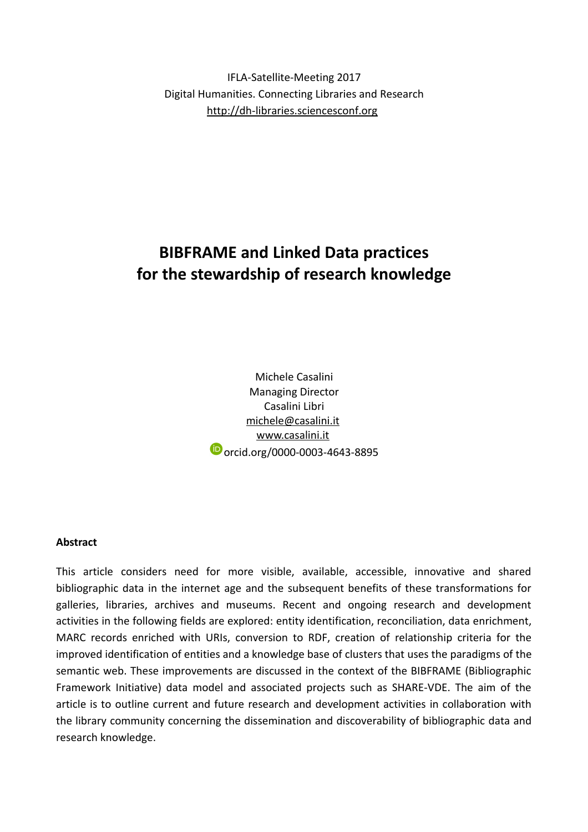IFLA-Satellite-Meeting 2017 Digital Humanities. Connecting Libraries and Research [http://dh-libraries.sciencesconf.org](http://dh-libraries.sciencesconf.org/)

# **BIBFRAME and Linked Data practices for the stewardship of research knowledge**

Michele Casalini Managing Director Casalini Libri [michele@casalini.it](mailto:michele@casalini.it) [www.casalini.it](http://www.casalini.it/) **D** orcid.org/0000-0003-4643-8895

#### **Abstract**

This article considers need for more visible, available, accessible, innovative and shared bibliographic data in the internet age and the subsequent benefits of these transformations for galleries, libraries, archives and museums. Recent and ongoing research and development activities in the following fields are explored: entity identification, reconciliation, data enrichment, MARC records enriched with URIs, conversion to RDF, creation of relationship criteria for the improved identification of entities and a knowledge base of clusters that uses the paradigms of the semantic web. These improvements are discussed in the context of the BIBFRAME (Bibliographic Framework Initiative) data model and associated projects such as SHARE-VDE. The aim of the article is to outline current and future research and development activities in collaboration with the library community concerning the dissemination and discoverability of bibliographic data and research knowledge.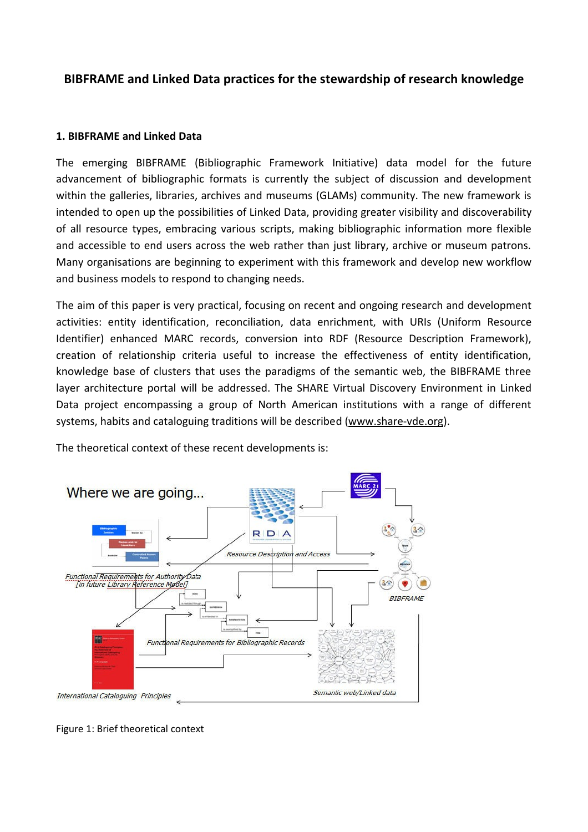# **BIBFRAME and Linked Data practices for the stewardship of research knowledge**

#### **1. BIBFRAME and Linked Data**

The emerging BIBFRAME (Bibliographic Framework Initiative) data model for the future advancement of bibliographic formats is currently the subject of discussion and development within the galleries, libraries, archives and museums (GLAMs) community. The new framework is intended to open up the possibilities of Linked Data, providing greater visibility and discoverability of all resource types, embracing various scripts, making bibliographic information more flexible and accessible to end users across the web rather than just library, archive or museum patrons. Many organisations are beginning to experiment with this framework and develop new workflow and business models to respond to changing needs.

The aim of this paper is very practical, focusing on recent and ongoing research and development activities: entity identification, reconciliation, data enrichment, with URIs (Uniform Resource Identifier) enhanced MARC records, conversion into RDF (Resource Description Framework), creation of relationship criteria useful to increase the effectiveness of entity identification, knowledge base of clusters that uses the paradigms of the semantic web, the BIBFRAME three layer architecture portal will be addressed. The SHARE Virtual Discovery Environment in Linked Data project encompassing a group of North American institutions with a range of different systems, habits and cataloguing traditions will be described (www.share-vde.org).

The theoretical context of these recent developments is:



Figure 1: Brief theoretical context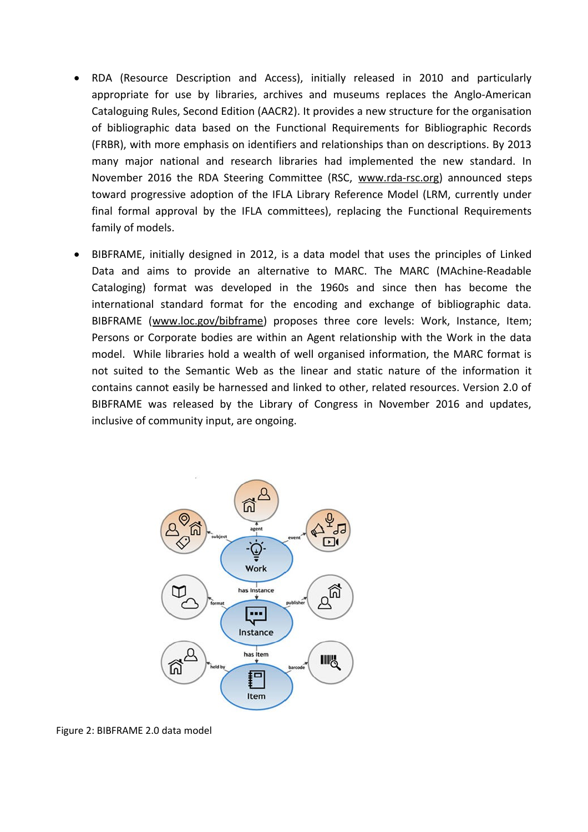- RDA (Resource Description and Access), initially released in 2010 and particularly appropriate for use by libraries, archives and museums replaces the Anglo-American Cataloguing Rules, Second Edition (AACR2). It provides a new structure for the organisation of bibliographic data based on the Functional Requirements for Bibliographic Records (FRBR), with more emphasis on identifiers and relationships than on descriptions. By 2013 many major national and research libraries had implemented the new standard. In November 2016 the RDA Steering Committee (RSC, www.rda-rsc.org) announced steps toward progressive adoption of the IFLA Library Reference Model (LRM, currently under final formal approval by the IFLA committees), replacing the Functional Requirements family of models.
- BIBFRAME, initially designed in 2012, is a data model that uses the principles of Linked Data and aims to provide an alternative to MARC. The MARC (MAchine-Readable Cataloging) format was developed in the 1960s and since then has become the international standard format for the encoding and exchange of bibliographic data. BIBFRAME (www.loc.gov/bibframe) proposes three core levels: Work, Instance, Item; Persons or Corporate bodies are within an Agent relationship with the Work in the data model. While libraries hold a wealth of well organised information, the MARC format is not suited to the Semantic Web as the linear and static nature of the information it contains cannot easily be harnessed and linked to other, related resources. Version 2.0 of BIBFRAME was released by the Library of Congress in November 2016 and updates, inclusive of community input, are ongoing.



Figure 2: BIBFRAME 2.0 data model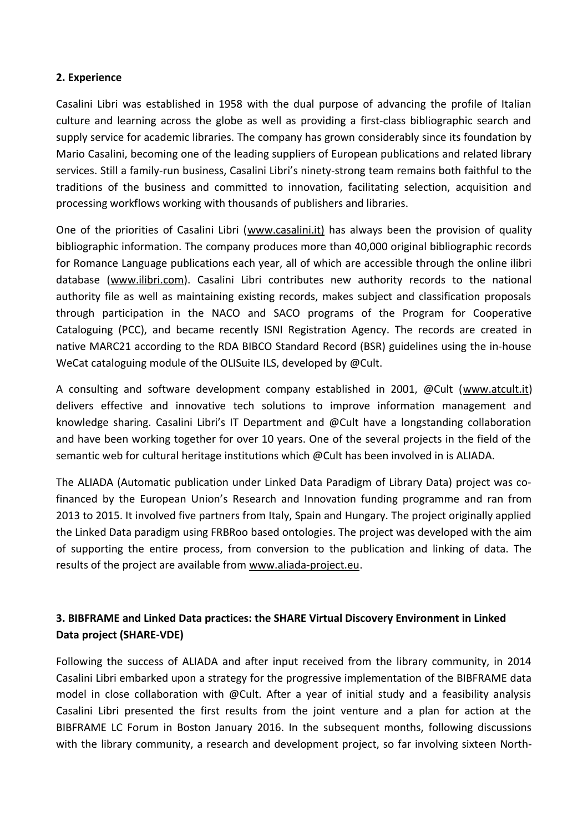#### **2. Experience**

Casalini Libri was established in 1958 with the dual purpose of advancing the profile of Italian culture and learning across the globe as well as providing a first-class bibliographic search and supply service for academic libraries. The company has grown considerably since its foundation by Mario Casalini, becoming one of the leading suppliers of European publications and related library services. Still a family-run business, Casalini Libri's ninety-strong team remains both faithful to the traditions of the business and committed to innovation, facilitating selection, acquisition and processing workflows working with thousands of publishers and libraries.

One of the priorities of Casalini Libri (www.casalini.it) has always been the provision of quality bibliographic information. The company produces more than 40,000 original bibliographic records for Romance Language publications each year, all of which are accessible through the online ilibri database [\(www.ilibri.com\)](http://www.ilibri.com/). Casalini Libri contributes new authority records to the national authority file as well as maintaining existing records, makes subject and classification proposals through participation in the NACO and SACO programs of the Program for Cooperative Cataloguing (PCC), and became recently ISNI Registration Agency. The records are created in native MARC21 according to the RDA BIBCO Standard Record (BSR) guidelines using the in-house WeCat cataloguing module of the OLISuite ILS, developed by @Cult.

A consulting and software development company established in 2001, @Cult ([www.atcult.it\)](http://www.atcult.it/) delivers effective and innovative tech solutions to improve information management and knowledge sharing. Casalini Libri's IT Department and @Cult have a longstanding collaboration and have been working together for over 10 years. One of the several projects in the field of the semantic web for cultural heritage institutions which @Cult has been involved in is ALIADA.

The ALIADA (Automatic publication under Linked Data Paradigm of Library Data) project was cofinanced by the European Union's Research and Innovation funding programme and ran from 2013 to 2015. It involved five partners from Italy, Spain and Hungary. The project originally applied the Linked Data paradigm using FRBRoo based ontologies. The project was developed with the aim of supporting the entire process, from conversion to the publication and linking of data. The results of the project are available from [www.aliada-project.eu.](http://www.aliada-project.eu/)

# **3. BIBFRAME and Linked Data practices: the SHARE Virtual Discovery Environment in Linked Data project (SHARE-VDE)**

Following the success of ALIADA and after input received from the library community, in 2014 Casalini Libri embarked upon a strategy for the progressive implementation of the BIBFRAME data model in close collaboration with @Cult. After a year of initial study and a feasibility analysis Casalini Libri presented the first results from the joint venture and a plan for action at the BIBFRAME LC Forum in Boston January 2016. In the subsequent months, following discussions with the library community, a research and development project, so far involving sixteen North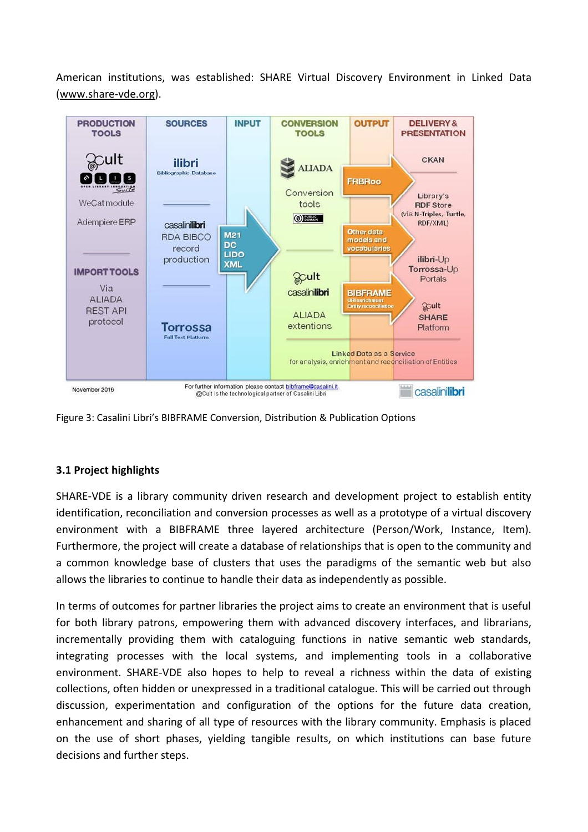American institutions, was established: SHARE Virtual Discovery Environment in Linked Data [\(www.share-vde.org\)](http://www.share-vde.org/).



Figure 3: Casalini Libri's BIBFRAME Conversion, Distribution & Publication Options

## **3.1 Project highlights**

SHARE-VDE is a library community driven research and development project to establish entity identification, reconciliation and conversion processes as well as a prototype of a virtual discovery environment with a BIBFRAME three layered architecture (Person/Work, Instance, Item). Furthermore, the project will create a database of relationships that is open to the community and a common knowledge base of clusters that uses the paradigms of the semantic web but also allows the libraries to continue to handle their data as independently as possible.

In terms of outcomes for partner libraries the project aims to create an environment that is useful for both library patrons, empowering them with advanced discovery interfaces, and librarians, incrementally providing them with cataloguing functions in native semantic web standards, integrating processes with the local systems, and implementing tools in a collaborative environment. SHARE-VDE also hopes to help to reveal a richness within the data of existing collections, often hidden or unexpressed in a traditional catalogue. This will be carried out through discussion, experimentation and configuration of the options for the future data creation, enhancement and sharing of all type of resources with the library community. Emphasis is placed on the use of short phases, yielding tangible results, on which institutions can base future decisions and further steps.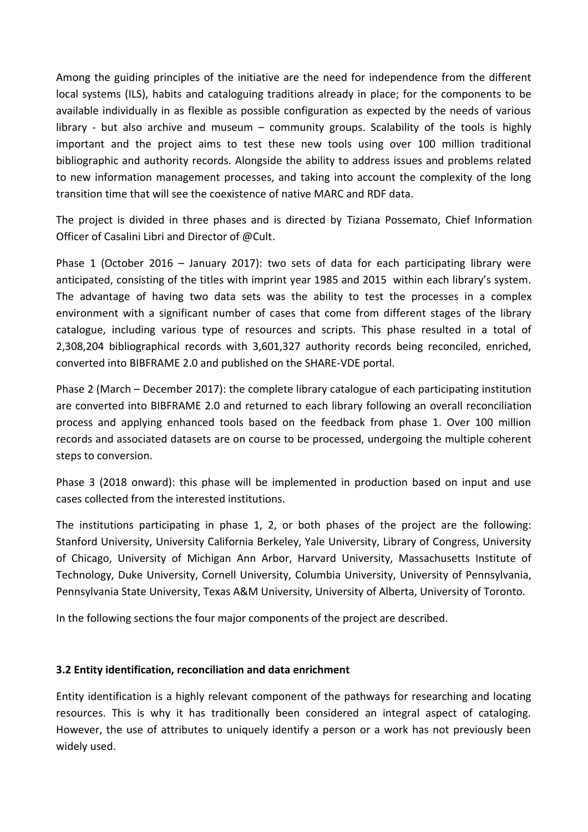Among the guiding principles of the initiative are the need for independence from the different local systems (ILS), habits and cataloguing traditions already in place; for the components to be available individually in as flexible as possible configuration as expected by the needs of various library - but also archive and museum – community groups. Scalability of the tools is highly important and the project aims to test these new tools using over 100 million traditional bibliographic and authority records. Alongside the ability to address issues and problems related to new information management processes, and taking into account the complexity of the long transition time that will see the coexistence of native MARC and RDF data.

The project is divided in three phases and is directed by Tiziana Possemato, Chief Information Officer of Casalini Libri and Director of @Cult.

Phase 1 (October 2016 – January 2017): two sets of data for each participating library were anticipated, consisting of the titles with imprint year 1985 and 2015 within each library's system. The advantage of having two data sets was the ability to test the processes in a complex environment with a significant number of cases that come from different stages of the library catalogue, including various type of resources and scripts. This phase resulted in a total of 2,308,204 bibliographical records with 3,601,327 authority records being reconciled, enriched, converted into BIBFRAME 2.0 and published on the SHARE-VDE portal.

Phase 2 (March – December 2017): the complete library catalogue of each participating institution are converted into BIBFRAME 2.0 and returned to each library following an overall reconciliation process and applying enhanced tools based on the feedback from phase 1. Over 100 million records and associated datasets are on course to be processed, undergoing the multiple coherent steps to conversion.

Phase 3 (2018 onward): this phase will be implemented in production based on input and use cases collected from the interested institutions.

The institutions participating in phase 1, 2, or both phases of the project are the following: Stanford University, University California Berkeley, Yale University, Library of Congress, University of Chicago, University of Michigan Ann Arbor, Harvard University, Massachusetts Institute of Technology, Duke University, Cornell University, Columbia University, University of Pennsylvania, Pennsylvania State University, Texas A&M University, University of Alberta, University of Toronto.

In the following sections the four major components of the project are described.

## **3.2 Entity identification, reconciliation and data enrichment**

Entity identification is a highly relevant component of the pathways for researching and locating resources. This is why it has traditionally been considered an integral aspect of cataloging. However, the use of attributes to uniquely identify a person or a work has not previously been widely used.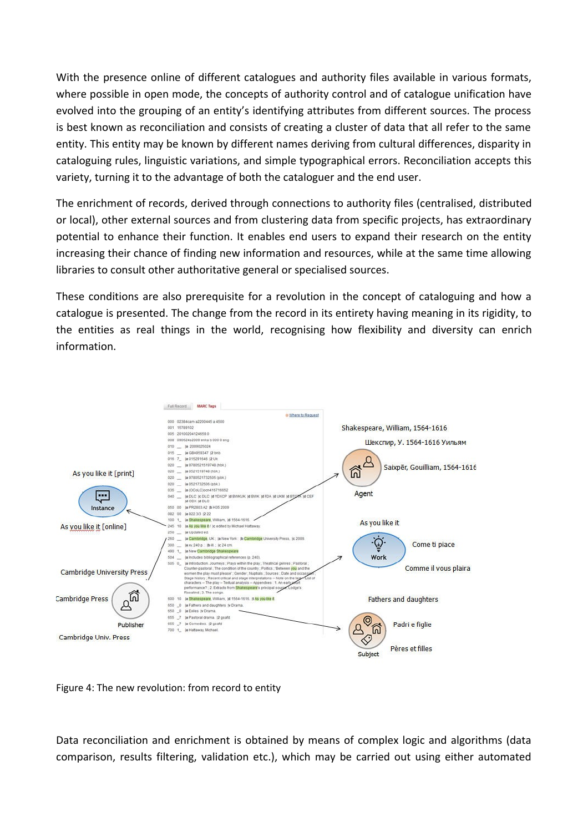With the presence online of different catalogues and authority files available in various formats, where possible in open mode, the concepts of authority control and of catalogue unification have evolved into the grouping of an entity's identifying attributes from different sources. The process is best known as reconciliation and consists of creating a cluster of data that all refer to the same entity. This entity may be known by different names deriving from cultural differences, disparity in cataloguing rules, linguistic variations, and simple typographical errors. Reconciliation accepts this variety, turning it to the advantage of both the cataloguer and the end user.

The enrichment of records, derived through connections to authority files (centralised, distributed or local), other external sources and from clustering data from specific projects, has extraordinary potential to enhance their function. It enables end users to expand their research on the entity increasing their chance of finding new information and resources, while at the same time allowing libraries to consult other authoritative general or specialised sources.

These conditions are also prerequisite for a revolution in the concept of cataloguing and how a catalogue is presented. The change from the record in its entirety having meaning in its rigidity, to the entities as real things in the world, recognising how flexibility and diversity can enrich information.



Figure 4: The new revolution: from record to entity

Data reconciliation and enrichment is obtained by means of complex logic and algorithms (data comparison, results filtering, validation etc.), which may be carried out using either automated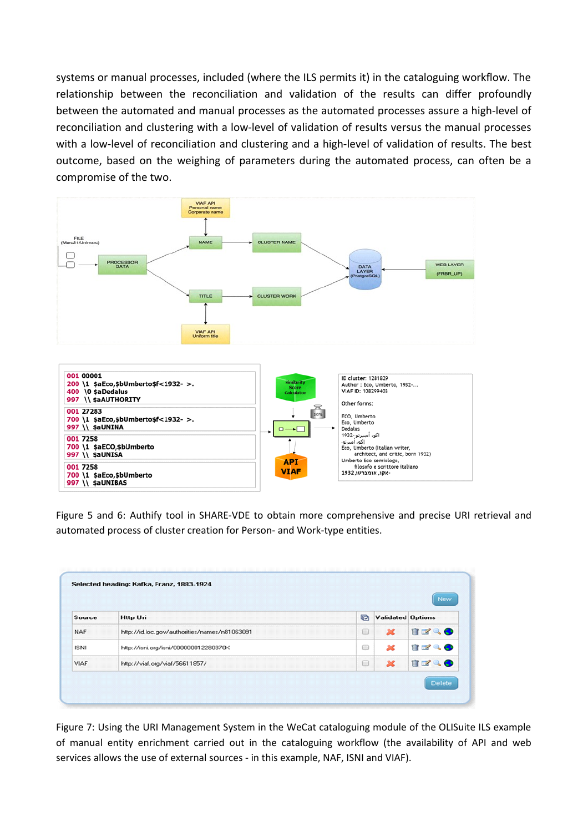systems or manual processes, included (where the ILS permits it) in the cataloguing workflow. The relationship between the reconciliation and validation of the results can differ profoundly between the automated and manual processes as the automated processes assure a high-level of reconciliation and clustering with a low-level of validation of results versus the manual processes with a low-level of reconciliation and clustering and a high-level of validation of results. The best outcome, based on the weighing of parameters during the automated process, can often be a compromise of the two.



Figure 5 and 6: Authify tool in SHARE-VDE to obtain more comprehensive and precise URI retrieval and automated process of cluster creation for Person- and Work-type entities.

| Source      | <b>Http Uri</b>                               | G      | <b>Validated Options</b> |            |
|-------------|-----------------------------------------------|--------|--------------------------|------------|
| <b>NAF</b>  | http://id.loc.gov/authorities/names/n81063091 | $\Box$ | $\mathbf{M}$             | trao       |
| ISNI        | http://isni.org/isni/000000012280370X         | $\Box$ | ×                        | in red & O |
| <b>VIAF</b> | http://viaf.org/viaf/56611857/                | $\Box$ | $\boldsymbol{\varkappa}$ | TK & O     |

Figure 7: Using the URI Management System in the WeCat cataloguing module of the OLISuite ILS example of manual entity enrichment carried out in the cataloguing workflow (the availability of API and web services allows the use of external sources - in this example, NAF, ISNI and VIAF).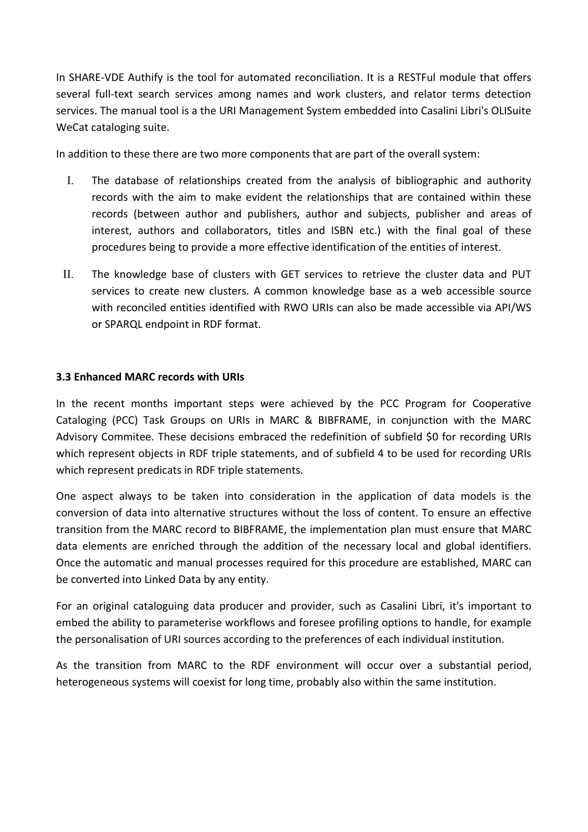In SHARE-VDE Authify is the tool for automated reconciliation. It is a RESTFul module that offers several full-text search services among names and work clusters, and relator terms detection services. The manual tool is a the URI Management System embedded into Casalini Libri's OLISuite WeCat cataloging suite.

In addition to these there are two more components that are part of the overall system:

- I. The database of relationships created from the analysis of bibliographic and authority records with the aim to make evident the relationships that are contained within these records (between author and publishers, author and subjects, publisher and areas of interest, authors and collaborators, titles and ISBN etc.) with the final goal of these procedures being to provide a more effective identification of the entities of interest.
- II. The knowledge base of clusters with GET services to retrieve the cluster data and PUT services to create new clusters. A common knowledge base as a web accessible source with reconciled entities identified with RWO URIs can also be made accessible via API/WS or SPARQL endpoint in RDF format.

#### **3.3 Enhanced MARC records with URIs**

In the recent months important steps were achieved by the PCC Program for Cooperative Cataloging (PCC) Task Groups on URIs in MARC & BIBFRAME, in conjunction with the MARC Advisory Commitee. These decisions embraced the redefinition of subfield \$0 for recording URIs which represent objects in RDF triple statements, and of subfield 4 to be used for recording URIs which represent predicats in RDF triple statements.

One aspect always to be taken into consideration in the application of data models is the conversion of data into alternative structures without the loss of content. To ensure an effective transition from the MARC record to BIBFRAME, the implementation plan must ensure that MARC data elements are enriched through the addition of the necessary local and global identifiers. Once the automatic and manual processes required for this procedure are established, MARC can be converted into Linked Data by any entity.

For an original cataloguing data producer and provider, such as Casalini Libri, it's important to embed the ability to parameterise workflows and foresee profiling options to handle, for example the personalisation of URI sources according to the preferences of each individual institution.

As the transition from MARC to the RDF environment will occur over a substantial period, heterogeneous systems will coexist for long time, probably also within the same institution.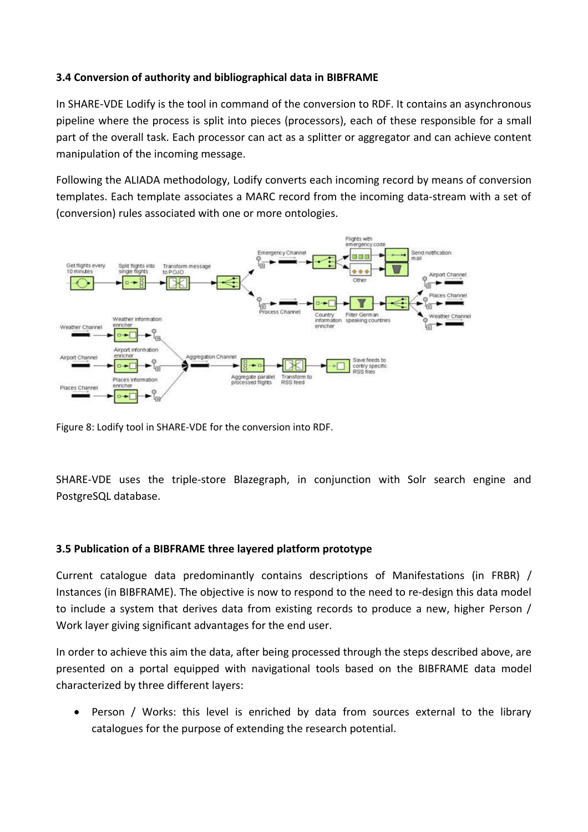## **3.4 Conversion of authority and bibliographical data in BIBFRAME**

In SHARE-VDE Lodify is the tool in command of the conversion to RDF. It contains an asynchronous pipeline where the process is split into pieces (processors), each of these responsible for a small part of the overall task. Each processor can act as a splitter or aggregator and can achieve content manipulation of the incoming message.

Following the ALIADA methodology, Lodify converts each incoming record by means of conversion templates. Each template associates a MARC record from the incoming data-stream with a set of (conversion) rules associated with one or more ontologies.



Figure 8: Lodify tool in SHARE-VDE for the conversion into RDF.

SHARE-VDE uses the triple-store Blazegraph, in conjunction with Solr search engine and PostgreSQL database.

#### **3.5 Publication of a BIBFRAME three layered platform prototype**

Current catalogue data predominantly contains descriptions of Manifestations (in FRBR) / Instances (in BIBFRAME). The objective is now to respond to the need to re-design this data model to include a system that derives data from existing records to produce a new, higher Person / Work layer giving significant advantages for the end user.

In order to achieve this aim the data, after being processed through the steps described above, are presented on a portal equipped with navigational tools based on the BIBFRAME data model characterized by three different layers:

• Person / Works: this level is enriched by data from sources external to the library catalogues for the purpose of extending the research potential.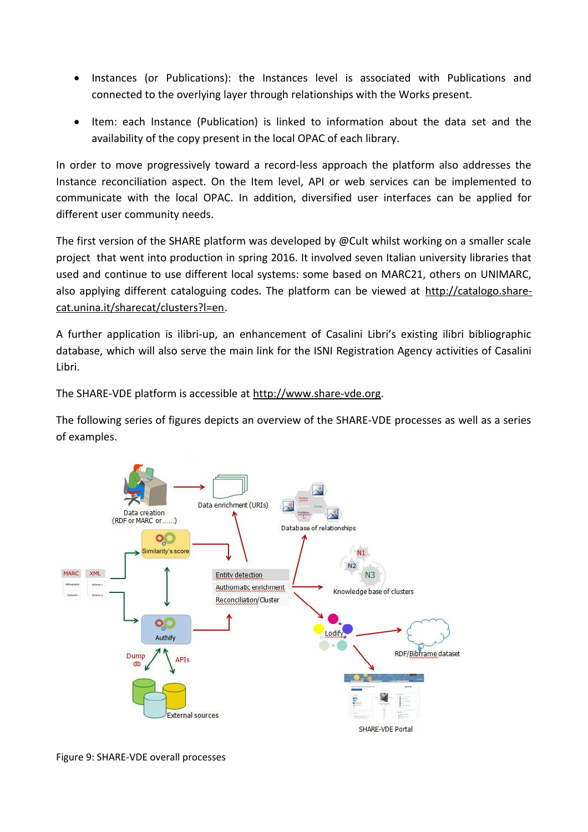- Instances (or Publications): the Instances level is associated with Publications and connected to the overlying layer through relationships with the Works present.
- Item: each Instance (Publication) is linked to information about the data set and the availability of the copy present in the local OPAC of each library.

In order to move progressively toward a record-less approach the platform also addresses the Instance reconciliation aspect. On the Item level, API or web services can be implemented to communicate with the local OPAC. In addition, diversified user interfaces can be applied for different user community needs.

The first version of the SHARE platform was developed by @Cult whilst working on a smaller scale project that went into production in spring 2016. It involved seven Italian university libraries that used and continue to use different local systems: some based on MARC21, others on UNIMARC, also applying different cataloguing codes. The platform can be viewed at [http://catalogo.share](http://catalogo.share-cat.unina.it/sharecat/clusters?l=en)[cat.unina.it/sharecat/clusters?l=en.](http://catalogo.share-cat.unina.it/sharecat/clusters?l=en)

A further application is ilibri-up, an enhancement of Casalini Libri's existing ilibri bibliographic database, which will also serve the main link for the ISNI Registration Agency activities of Casalini Libri.

The SHARE-VDE platform is accessible at [http://www.share-vde.org.](http://www.share-vde.org/)

The following series of figures depicts an overview of the SHARE-VDE processes as well as a series of examples.



Figure 9: SHARE-VDE overall processes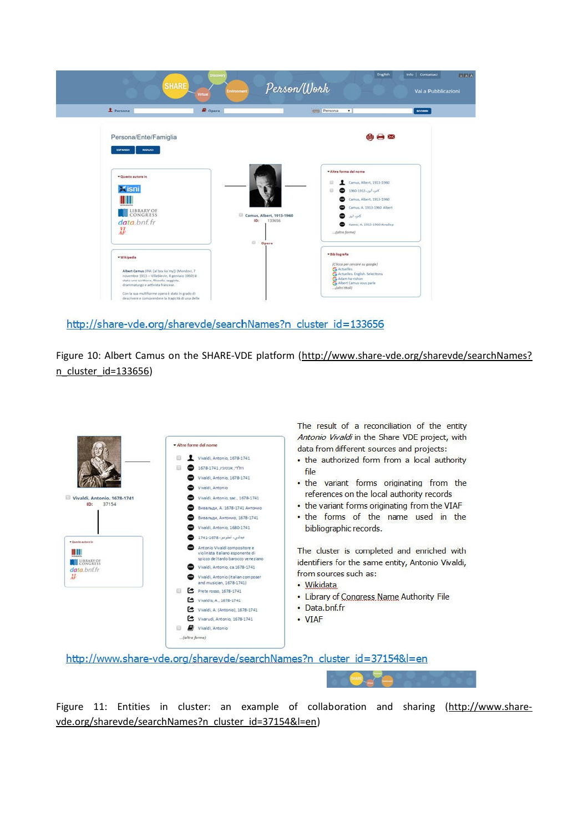

http://share-vde.org/sharevde/searchNames?n cluster id=133656

Figure 10: Albert Camus on the SHARE-VDE platform [\(http://www.share-vde.org/sharevde/searchNames?](http://www.share-vde.org/sharevde/searchNames?n_cluster_id=133656) [n\\_cluster\\_id=133656\)](http://www.share-vde.org/sharevde/searchNames?n_cluster_id=133656)



Figure 11: Entities in cluster: an example of collaboration and sharing [\(http://www.share](http://www.share-vde.org/sharevde/searchNames?n_cluster_id=37154&l=en)[vde.org/sharevde/searchNames?n\\_cluster\\_id=37154&l=en\)](http://www.share-vde.org/sharevde/searchNames?n_cluster_id=37154&l=en)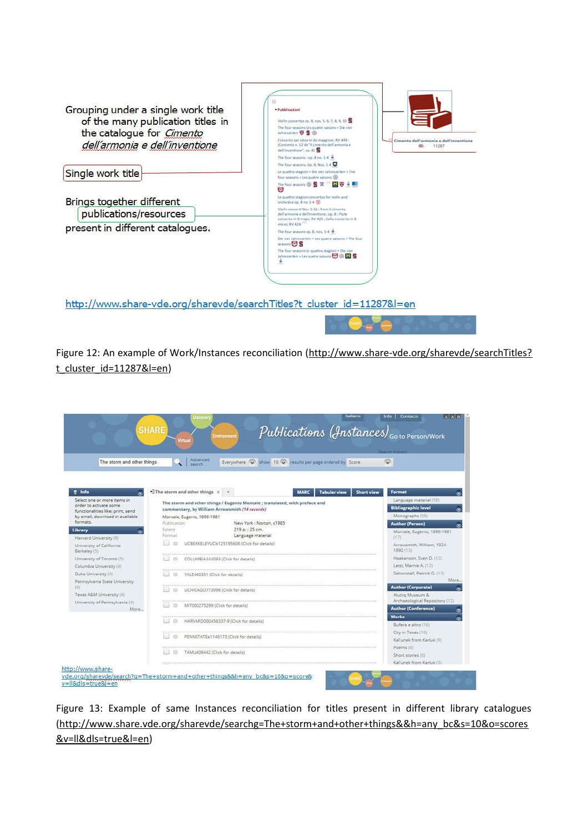

Figure 12: An example of Work/Instances reconciliation [\(http://www.share-vde.org/sharevde/searchTitles?](http://www.share-vde.org/sharevde/searchTitles?t_cluster_id=11287&l=en) [t\\_cluster\\_id=11287&l=en\)](http://www.share-vde.org/sharevde/searchTitles?t_cluster_id=11287&l=en)

| The storm and other things                                                                                                                 | Advanced<br>Everywhere $\bigcirc$ show 10 $\bigcirc$ results per page ordered by Score<br>search                                                                                                       | O                                                                                                 |
|--------------------------------------------------------------------------------------------------------------------------------------------|--------------------------------------------------------------------------------------------------------------------------------------------------------------------------------------------------------|---------------------------------------------------------------------------------------------------|
| <sup>o</sup> Info                                                                                                                          | $\exists$ The storm and other things $x$ +<br><b>Tabular view</b><br><b>Short view</b><br><b>MARC</b>                                                                                                  | Format                                                                                            |
| Select one or more items in<br>order to activate some<br>functionalities like: print, send<br>by email, download in available.<br>formate. | The storm and other things / Eugenio Montale ; translated, with preface and<br>commentary, by William Arrowsmith (14 records)<br>Montale, Eugenio, 1896-1981<br>Publication<br>New York: Norton, c1985 | Language material (58)<br><b>Bibliographic level</b><br>Monographs (58)<br><b>Author (Person)</b> |
| Library<br>×                                                                                                                               | 219 p.: 25 cm.<br>Extent                                                                                                                                                                               | Montale, Eugenio, 1896-1981                                                                       |
| Harvard University (9)                                                                                                                     | Format<br>Language material                                                                                                                                                                            | (17)                                                                                              |
| University of California<br>Berkeley (5)                                                                                                   | UCBERKELEYUCb125195606 (Click for details)<br>ID:<br><b></b>                                                                                                                                           | Arrowsmith, William, 1924-.<br>1992 (13)                                                          |
| University of Toronto (5)                                                                                                                  | COLUMBIA444093 (Click for details)<br>ID.                                                                                                                                                              | Haakanson, Sven D. (12)                                                                           |
| Columbia University (4)                                                                                                                    |                                                                                                                                                                                                        | Leist, Marnie A. (12)                                                                             |
| Duke University (4)                                                                                                                        | YALE440351 (Click for details)<br>ID.                                                                                                                                                                  | Saltonstall, Patrick G. (12)                                                                      |
| Pennsylvania State University                                                                                                              |                                                                                                                                                                                                        | More                                                                                              |
| (4)                                                                                                                                        | UCHICAGO773996 (Click for details)<br>ID.                                                                                                                                                              | <b>Author (Corporate)</b>                                                                         |
| Texas A&M University (4)                                                                                                                   |                                                                                                                                                                                                        | Alutiig Museum &<br>Archaeological Repository (12)                                                |
| University of Pennsylvania (4)<br>More                                                                                                     | MIT000275299 (Click for details)<br>1D                                                                                                                                                                 | <b>Author (Conference)</b>                                                                        |
|                                                                                                                                            | HARVARD000456337-9 (Click for details)<br>ID.                                                                                                                                                          | <b>Works</b>                                                                                      |
|                                                                                                                                            |                                                                                                                                                                                                        | Bufera e altro (16)                                                                               |
|                                                                                                                                            | **********************************<br>PENNSTATEa1146173 (Click for details)<br>ID.                                                                                                                     | City in Texas (10)                                                                                |
|                                                                                                                                            |                                                                                                                                                                                                        | Kal'unek from Karluk (9)                                                                          |
|                                                                                                                                            | ID<br>TAMU409442 (Click for details)                                                                                                                                                                   | Poems (6)                                                                                         |
|                                                                                                                                            |                                                                                                                                                                                                        | Short stories (6)                                                                                 |

Figure 13: Example of same Instances reconciliation for titles present in different library catalogues [\(http://www.share.vde.org/sharevde/searchg=The+storm+and+other+things&&h=any\\_bc&s=10&o=scores](http://www.share-vde.org/sharevde/search?g=The+storm+and+other+things&&h=any_bc&s=10&o=scores&v=ll&dls=true&l=en) [&v=ll&dls=true&l=en\)](http://www.share-vde.org/sharevde/search?g=The+storm+and+other+things&&h=any_bc&s=10&o=scores&v=ll&dls=true&l=en)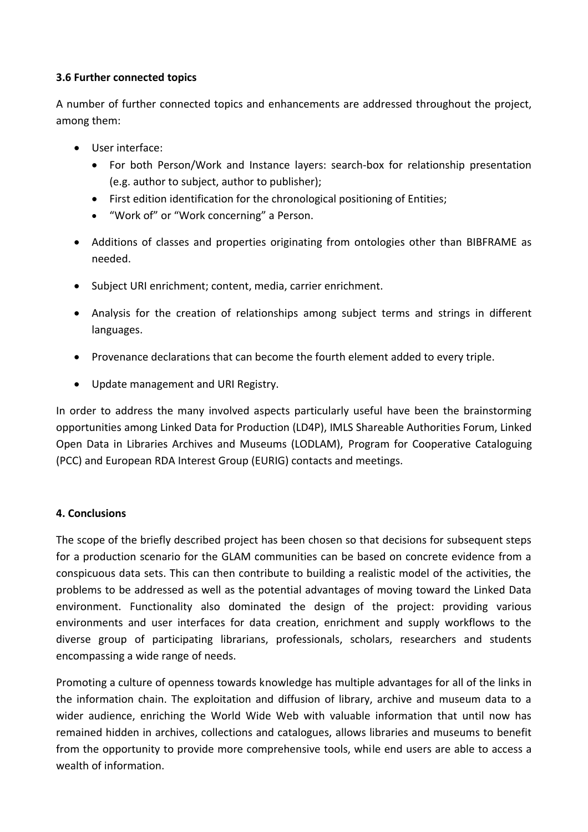#### **3.6 Further connected topics**

A number of further connected topics and enhancements are addressed throughout the project, among them:

- User interface:
	- For both Person/Work and Instance layers: search-box for relationship presentation (e.g. author to subject, author to publisher);
	- First edition identification for the chronological positioning of Entities;
	- "Work of" or "Work concerning" a Person.
- Additions of classes and properties originating from ontologies other than BIBFRAME as needed.
- Subject URI enrichment; content, media, carrier enrichment.
- Analysis for the creation of relationships among subject terms and strings in different languages.
- Provenance declarations that can become the fourth element added to every triple.
- Update management and URI Registry.

In order to address the many involved aspects particularly useful have been the brainstorming opportunities among Linked Data for Production (LD4P), IMLS Shareable Authorities Forum, Linked Open Data in Libraries Archives and Museums (LODLAM), Program for Cooperative Cataloguing (PCC) and European RDA Interest Group (EURIG) contacts and meetings.

## **4. Conclusions**

The scope of the briefly described project has been chosen so that decisions for subsequent steps for a production scenario for the GLAM communities can be based on concrete evidence from a conspicuous data sets. This can then contribute to building a realistic model of the activities, the problems to be addressed as well as the potential advantages of moving toward the Linked Data environment. Functionality also dominated the design of the project: providing various environments and user interfaces for data creation, enrichment and supply workflows to the diverse group of participating librarians, professionals, scholars, researchers and students encompassing a wide range of needs.

Promoting a culture of openness towards knowledge has multiple advantages for all of the links in the information chain. The exploitation and diffusion of library, archive and museum data to a wider audience, enriching the World Wide Web with valuable information that until now has remained hidden in archives, collections and catalogues, allows libraries and museums to benefit from the opportunity to provide more comprehensive tools, while end users are able to access a wealth of information.